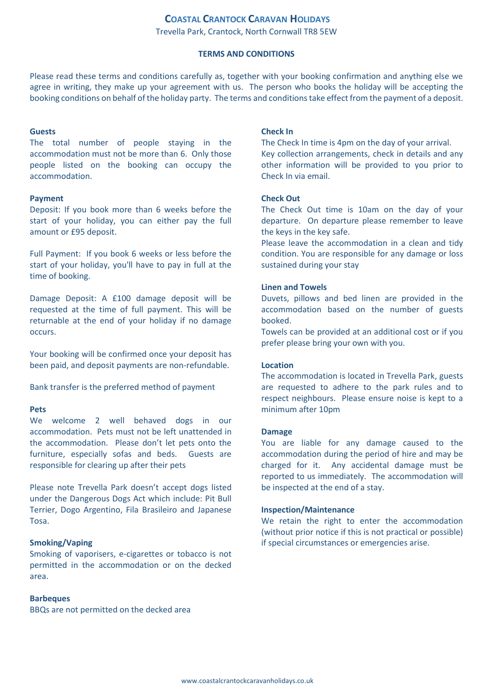## **COASTAL CRANTOCK CARAVAN HOLIDAYS**

Trevella Park, Crantock, North Cornwall TR8 5EW

### **TERMS AND CONDITIONS**

Please read these terms and conditions carefully as, together with your booking confirmation and anything else we agree in writing, they make up your agreement with us. The person who books the holiday will be accepting the booking conditions on behalf of the holiday party. The terms and conditions take effect from the payment of a deposit.

#### **Guests**

The total number of people staying in the accommodation must not be more than 6. Only those people listed on the booking can occupy the accommodation.

#### **Payment**

Deposit: If you book more than 6 weeks before the start of your holiday, you can either pay the full amount or £95 deposit.

Full Payment: If you book 6 weeks or less before the start of your holiday, you'll have to pay in full at the time of booking.

Damage Deposit: A £100 damage deposit will be requested at the time of full payment. This will be returnable at the end of your holiday if no damage occurs.

Your booking will be confirmed once your deposit has been paid, and deposit payments are non-refundable.

Bank transfer is the preferred method of payment

#### **Pets**

We welcome 2 well behaved dogs in our accommodation. Pets must not be left unattended in the accommodation. Please don't let pets onto the furniture, especially sofas and beds. Guests are responsible for clearing up after their pets

Please note Trevella Park doesn't accept dogs listed under the Dangerous Dogs Act which include: Pit Bull Terrier, Dogo Argentino, Fila Brasileiro and Japanese Tosa.

## **Smoking/Vaping**

Smoking of vaporisers, e-cigarettes or tobacco is not permitted in the accommodation or on the decked area.

#### **Barbeques**

BBQs are not permitted on the decked area

## **Check In**

The Check In time is 4pm on the day of your arrival. Key collection arrangements, check in details and any other information will be provided to you prior to Check In via email.

### **Check Out**

The Check Out time is 10am on the day of your departure. On departure please remember to leave the keys in the key safe.

Please leave the accommodation in a clean and tidy condition. You are responsible for any damage or loss sustained during your stay

#### **Linen and Towels**

Duvets, pillows and bed linen are provided in the accommodation based on the number of guests booked.

Towels can be provided at an additional cost or if you prefer please bring your own with you.

## **Location**

The accommodation is located in Trevella Park, guests are requested to adhere to the park rules and to respect neighbours. Please ensure noise is kept to a minimum after 10pm

#### **Damage**

You are liable for any damage caused to the accommodation during the period of hire and may be charged for it. Any accidental damage must be reported to us immediately. The accommodation will be inspected at the end of a stay.

#### **Inspection/Maintenance**

We retain the right to enter the accommodation (without prior notice if this is not practical or possible) if special circumstances or emergencies arise.